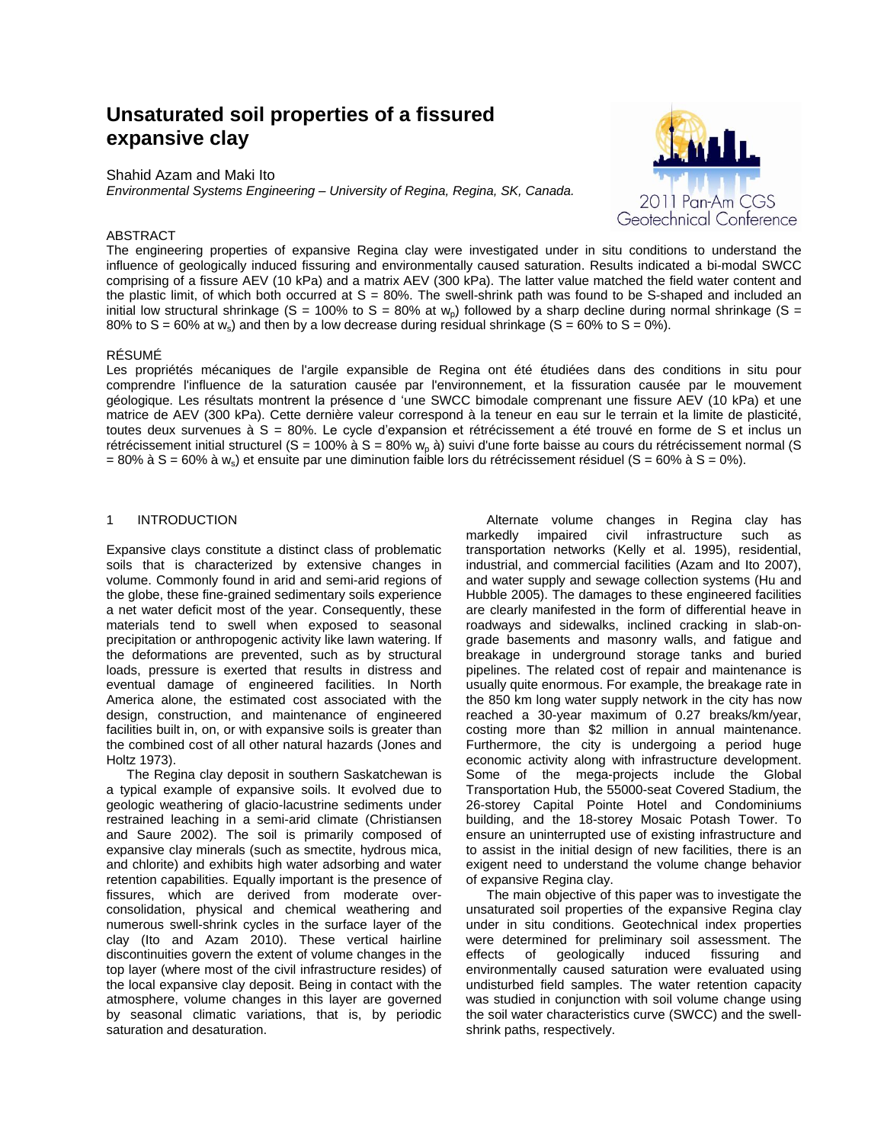# **Unsaturated soil properties of a fissured expansive clay**

Shahid Azam and Maki Ito

*Environmental Systems Engineering – University of Regina, Regina, SK, Canada.*



# ABSTRACT

The engineering properties of expansive Regina clay were investigated under in situ conditions to understand the influence of geologically induced fissuring and environmentally caused saturation. Results indicated a bi-modal SWCC comprising of a fissure AEV (10 kPa) and a matrix AEV (300 kPa). The latter value matched the field water content and the plastic limit, of which both occurred at  $S = 80\%$ . The swell-shrink path was found to be S-shaped and included an initial low structural shrinkage (S = 100% to S = 80% at  $w<sub>p</sub>$ ) followed by a sharp decline during normal shrinkage (S = 80% to S = 60% at  $w_s$ ) and then by a low decrease during residual shrinkage (S = 60% to S = 0%).

### RÉSUMÉ

Les propriétés mécaniques de l'argile expansible de Regina ont été étudiées dans des conditions in situ pour comprendre l'influence de la saturation causée par l'environnement, et la fissuration causée par le mouvement géologique. Les résultats montrent la présence d 'une SWCC bimodale comprenant une fissure AEV (10 kPa) et une matrice de AEV (300 kPa). Cette dernière valeur correspond à la teneur en eau sur le terrain et la limite de plasticité, toutes deux survenues à S = 80%. Le cycle d'expansion et rétrécissement a été trouvé en forme de S et inclus un rétrécissement initial structurel (S = 100% à S = 80%  $w_0$  à) suivi d'une forte baisse au cours du rétrécissement normal (S = 80% à S = 60% à w<sub>s</sub>) et ensuite par une diminution faible lors du rétrécissement résiduel (S = 60% à S = 0%).

# 1 INTRODUCTION

Expansive clays constitute a distinct class of problematic soils that is characterized by extensive changes in volume. Commonly found in arid and semi-arid regions of the globe, these fine-grained sedimentary soils experience a net water deficit most of the year. Consequently, these materials tend to swell when exposed to seasonal precipitation or anthropogenic activity like lawn watering. If the deformations are prevented, such as by structural loads, pressure is exerted that results in distress and eventual damage of engineered facilities. In North America alone, the estimated cost associated with the design, construction, and maintenance of engineered facilities built in, on, or with expansive soils is greater than the combined cost of all other natural hazards (Jones and Holtz 1973).

The Regina clay deposit in southern Saskatchewan is a typical example of expansive soils. It evolved due to geologic weathering of glacio-lacustrine sediments under restrained leaching in a semi-arid climate (Christiansen and Saure 2002). The soil is primarily composed of expansive clay minerals (such as smectite, hydrous mica, and chlorite) and exhibits high water adsorbing and water retention capabilities. Equally important is the presence of fissures, which are derived from moderate overconsolidation, physical and chemical weathering and numerous swell-shrink cycles in the surface layer of the clay (Ito and Azam 2010). These vertical hairline discontinuities govern the extent of volume changes in the top layer (where most of the civil infrastructure resides) of the local expansive clay deposit. Being in contact with the atmosphere, volume changes in this layer are governed by seasonal climatic variations, that is, by periodic saturation and desaturation.

Alternate volume changes in Regina clay has markedly impaired civil infrastructure such as transportation networks (Kelly et al. 1995), residential, industrial, and commercial facilities (Azam and Ito 2007), and water supply and sewage collection systems (Hu and Hubble 2005). The damages to these engineered facilities are clearly manifested in the form of differential heave in roadways and sidewalks, inclined cracking in slab-ongrade basements and masonry walls, and fatigue and breakage in underground storage tanks and buried pipelines. The related cost of repair and maintenance is usually quite enormous. For example, the breakage rate in the 850 km long water supply network in the city has now reached a 30-year maximum of 0.27 breaks/km/year, costing more than \$2 million in annual maintenance. Furthermore, the city is undergoing a period huge economic activity along with infrastructure development. Some of the mega-projects include the Global Transportation Hub, the 55000-seat Covered Stadium, the 26-storey Capital Pointe Hotel and Condominiums building, and the 18-storey Mosaic Potash Tower. To ensure an uninterrupted use of existing infrastructure and to assist in the initial design of new facilities, there is an exigent need to understand the volume change behavior of expansive Regina clay.

The main objective of this paper was to investigate the unsaturated soil properties of the expansive Regina clay under in situ conditions. Geotechnical index properties were determined for preliminary soil assessment. The effects of geologically induced fissuring and environmentally caused saturation were evaluated using undisturbed field samples. The water retention capacity was studied in conjunction with soil volume change using the soil water characteristics curve (SWCC) and the swellshrink paths, respectively.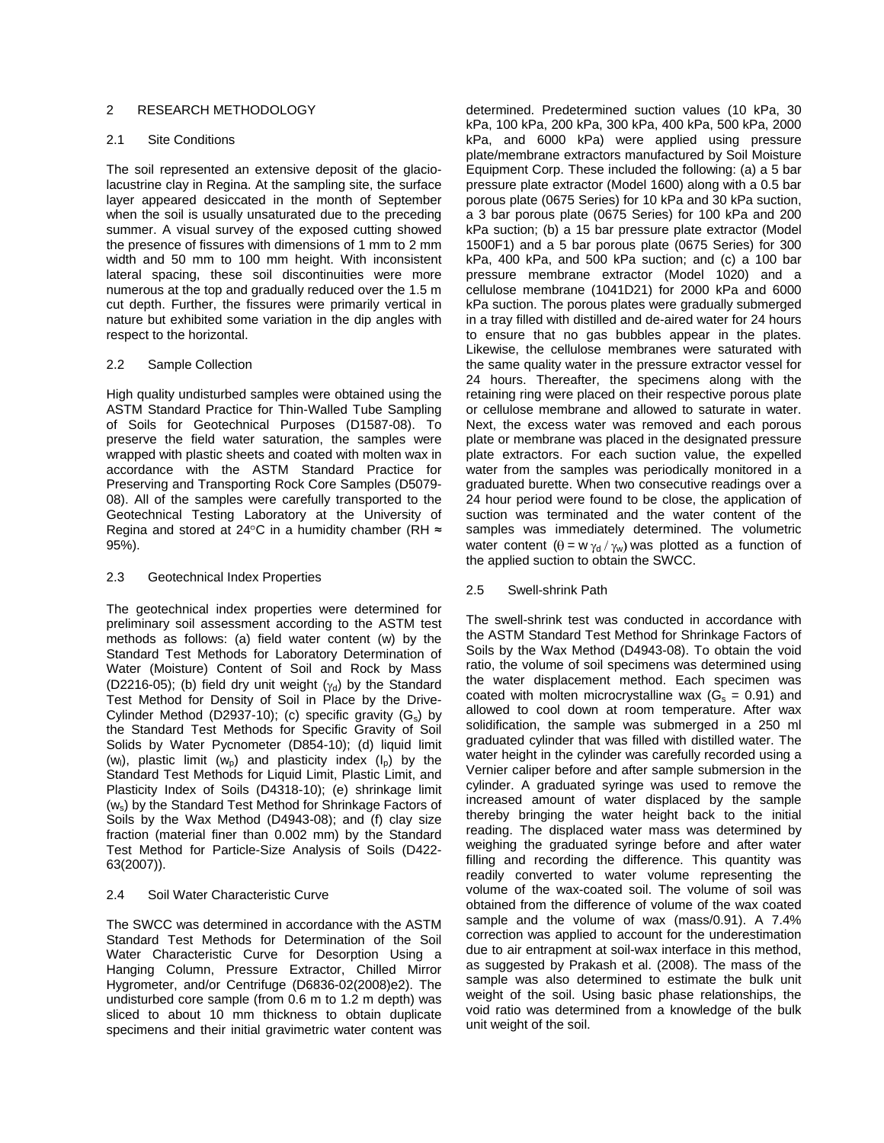# 2 RESEARCH METHODOLOGY

# 2.1 Site Conditions

The soil represented an extensive deposit of the glaciolacustrine clay in Regina. At the sampling site, the surface layer appeared desiccated in the month of September when the soil is usually unsaturated due to the preceding summer. A visual survey of the exposed cutting showed the presence of fissures with dimensions of 1 mm to 2 mm width and 50 mm to 100 mm height. With inconsistent lateral spacing, these soil discontinuities were more numerous at the top and gradually reduced over the 1.5 m cut depth. Further, the fissures were primarily vertical in nature but exhibited some variation in the dip angles with respect to the horizontal.

# 2.2 Sample Collection

High quality undisturbed samples were obtained using the ASTM Standard Practice for Thin-Walled Tube Sampling of Soils for Geotechnical Purposes (D1587-08). To preserve the field water saturation, the samples were wrapped with plastic sheets and coated with molten wax in accordance with the ASTM Standard Practice for Preserving and Transporting Rock Core Samples (D5079- 08). All of the samples were carefully transported to the Geotechnical Testing Laboratory at the University of Regina and stored at 24 $\degree$ C in a humidity chamber (RH  $\approx$ 95%).

# 2.3 Geotechnical Index Properties

The geotechnical index properties were determined for preliminary soil assessment according to the ASTM test methods as follows: (a) field water content (w) by the Standard Test Methods for Laboratory Determination of Water (Moisture) Content of Soil and Rock by Mass (D2216-05); (b) field dry unit weight  $(y_d)$  by the Standard Test Method for Density of Soil in Place by the Drive-Cylinder Method (D2937-10); (c) specific gravity  $(G_s)$  by the Standard Test Methods for Specific Gravity of Soil Solids by Water Pycnometer (D854-10); (d) liquid limit (w<sub>i</sub>), plastic limit (w<sub>p</sub>) and plasticity index (l<sub>p</sub>) by the Standard Test Methods for Liquid Limit, Plastic Limit, and Plasticity Index of Soils (D4318-10); (e) shrinkage limit (ws) by the Standard Test Method for Shrinkage Factors of Soils by the Wax Method (D4943-08); and (f) clay size fraction (material finer than 0.002 mm) by the Standard Test Method for Particle-Size Analysis of Soils (D422- 63(2007)).

# 2.4 Soil Water Characteristic Curve

The SWCC was determined in accordance with the ASTM Standard Test Methods for Determination of the Soil Water Characteristic Curve for Desorption Using a Hanging Column, Pressure Extractor, Chilled Mirror Hygrometer, and/or Centrifuge (D6836-02(2008)e2). The undisturbed core sample (from 0.6 m to 1.2 m depth) was sliced to about 10 mm thickness to obtain duplicate specimens and their initial gravimetric water content was

determined. Predetermined suction values (10 kPa, 30 kPa, 100 kPa, 200 kPa, 300 kPa, 400 kPa, 500 kPa, 2000 kPa, and 6000 kPa) were applied using pressure plate/membrane extractors manufactured by Soil Moisture Equipment Corp. These included the following: (a) a 5 bar pressure plate extractor (Model 1600) along with a 0.5 bar porous plate (0675 Series) for 10 kPa and 30 kPa suction, a 3 bar porous plate (0675 Series) for 100 kPa and 200 kPa suction; (b) a 15 bar pressure plate extractor (Model 1500F1) and a 5 bar porous plate (0675 Series) for 300 kPa, 400 kPa, and 500 kPa suction; and (c) a 100 bar pressure membrane extractor (Model 1020) and a cellulose membrane (1041D21) for 2000 kPa and 6000 kPa suction. The porous plates were gradually submerged in a tray filled with distilled and de-aired water for 24 hours to ensure that no gas bubbles appear in the plates. Likewise, the cellulose membranes were saturated with the same quality water in the pressure extractor vessel for 24 hours. Thereafter, the specimens along with the retaining ring were placed on their respective porous plate or cellulose membrane and allowed to saturate in water. Next, the excess water was removed and each porous plate or membrane was placed in the designated pressure plate extractors. For each suction value, the expelled water from the samples was periodically monitored in a graduated burette. When two consecutive readings over a 24 hour period were found to be close, the application of suction was terminated and the water content of the samples was immediately determined. The volumetric water content  $(\theta = w \gamma_d / \gamma_w)$  was plotted as a function of the applied suction to obtain the SWCC.

# 2.5 Swell-shrink Path

The swell-shrink test was conducted in accordance with the ASTM Standard Test Method for Shrinkage Factors of Soils by the Wax Method (D4943-08). To obtain the void ratio, the volume of soil specimens was determined using the water displacement method. Each specimen was coated with molten microcrystalline wax ( $G_s = 0.91$ ) and allowed to cool down at room temperature. After wax solidification, the sample was submerged in a 250 ml graduated cylinder that was filled with distilled water. The water height in the cylinder was carefully recorded using a Vernier caliper before and after sample submersion in the cylinder. A graduated syringe was used to remove the increased amount of water displaced by the sample thereby bringing the water height back to the initial reading. The displaced water mass was determined by weighing the graduated syringe before and after water filling and recording the difference. This quantity was readily converted to water volume representing the volume of the wax-coated soil. The volume of soil was obtained from the difference of volume of the wax coated sample and the volume of wax (mass/0.91). A 7.4% correction was applied to account for the underestimation due to air entrapment at soil-wax interface in this method, as suggested by Prakash et al. (2008). The mass of the sample was also determined to estimate the bulk unit weight of the soil. Using basic phase relationships, the void ratio was determined from a knowledge of the bulk unit weight of the soil.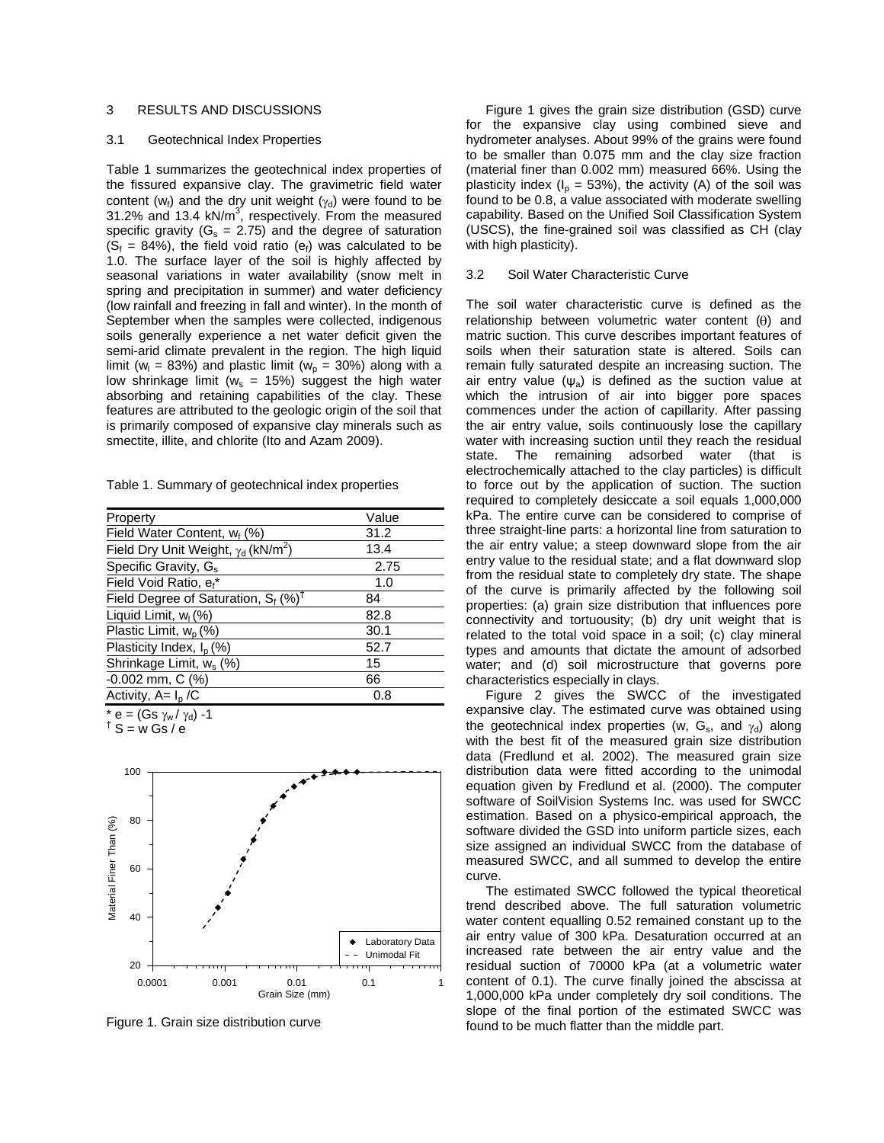# 3 RESULTS AND DISCUSSIONS

#### 3.1 Geotechnical Index Properties

Table 1 summarizes the geotechnical index properties of the fissured expansive clay. The gravimetric field water content (w<sub>f</sub>) and the dry unit weight ( $\gamma$ <sub>d</sub>) were found to be 31.2% and 13.4  $kN/m^3$ , respectively. From the measured specific gravity ( $G_s = 2.75$ ) and the degree of saturation  $(S_f = 84\%)$ , the field void ratio (e<sub>f</sub>) was calculated to be 1.0. The surface layer of the soil is highly affected by seasonal variations in water availability (snow melt in spring and precipitation in summer) and water deficiency (low rainfall and freezing in fall and winter). In the month of September when the samples were collected, indigenous soils generally experience a net water deficit given the semi-arid climate prevalent in the region. The high liquid limit ( $w_1$  = 83%) and plastic limit ( $w_0$  = 30%) along with a low shrinkage limit ( $w_s = 15\%$ ) suggest the high water absorbing and retaining capabilities of the clay. These features are attributed to the geologic origin of the soil that is primarily composed of expansive clay minerals such as smectite, illite, and chlorite (Ito and Azam 2009).

Table 1. Summary of geotechnical index properties

| Property                                               | Value |
|--------------------------------------------------------|-------|
| Field Water Content, $w_f$ (%)                         | 31.2  |
| Field Dry Unit Weight, $\gamma_d$ (kN/m <sup>2</sup> ) | 13.4  |
| Specific Gravity, G <sub>s</sub>                       | 2.75  |
| Field Void Ratio, e <sub>f</sub> *                     | 1.0   |
| Field Degree of Saturation, $S_f$ (%) <sup>†</sup>     | 84    |
| Liquid Limit, w <sub>1</sub> (%)                       | 82.8  |
| Plastic Limit, $W_p$ (%)                               | 30.1  |
| Plasticity Index, $I_p$ (%)                            | 52.7  |
| Shrinkage Limit, w <sub>s</sub> (%)                    | 15    |
| $-0.002$ mm, C $(%)$                                   | 66    |
| Activity, $A = I_D / C$                                | 0.8   |
| * $e = (Gs \gamma_w / \gamma_d) -1$                    |       |

 $\dagger$  S = w Gs / e



Figure 1. Grain size distribution curve

Figure 1 gives the grain size distribution (GSD) curve for the expansive clay using combined sieve and hydrometer analyses. About 99% of the grains were found to be smaller than 0.075 mm and the clay size fraction (material finer than 0.002 mm) measured 66%. Using the plasticity index ( $I_p = 53\%$ ), the activity (A) of the soil was found to be 0.8, a value associated with moderate swelling capability. Based on the Unified Soil Classification System (USCS), the fine-grained soil was classified as CH (clay with high plasticity).

#### 3.2 Soil Water Characteristic Curve

The soil water characteristic curve is defined as the relationship between volumetric water content  $(\theta)$  and matric suction. This curve describes important features of soils when their saturation state is altered. Soils can remain fully saturated despite an increasing suction. The air entry value  $(\psi_a)$  is defined as the suction value at which the intrusion of air into bigger pore spaces commences under the action of capillarity. After passing the air entry value, soils continuously lose the capillary water with increasing suction until they reach the residual state. The remaining adsorbed water (that is electrochemically attached to the clay particles) is difficult to force out by the application of suction. The suction required to completely desiccate a soil equals 1,000,000 kPa. The entire curve can be considered to comprise of three straight-line parts: a horizontal line from saturation to the air entry value; a steep downward slope from the air entry value to the residual state; and a flat downward slop from the residual state to completely dry state. The shape of the curve is primarily affected by the following soil properties: (a) grain size distribution that influences pore connectivity and tortuousity; (b) dry unit weight that is related to the total void space in a soil; (c) clay mineral types and amounts that dictate the amount of adsorbed water; and (d) soil microstructure that governs pore characteristics especially in clays.

Figure 2 gives the SWCC of the investigated expansive clay. The estimated curve was obtained using the geotechnical index properties (w,  $G_s$ , and  $\gamma_d$ ) along with the best fit of the measured grain size distribution data (Fredlund et al. 2002). The measured grain size distribution data were fitted according to the unimodal equation given by Fredlund et al. (2000). The computer software of SoilVision Systems Inc. was used for SWCC estimation. Based on a physico-empirical approach, the software divided the GSD into uniform particle sizes, each size assigned an individual SWCC from the database of measured SWCC, and all summed to develop the entire curve.

The estimated SWCC followed the typical theoretical trend described above. The full saturation volumetric water content equalling 0.52 remained constant up to the air entry value of 300 kPa. Desaturation occurred at an increased rate between the air entry value and the residual suction of 70000 kPa (at a volumetric water content of 0.1). The curve finally joined the abscissa at 1,000,000 kPa under completely dry soil conditions. The slope of the final portion of the estimated SWCC was found to be much flatter than the middle part.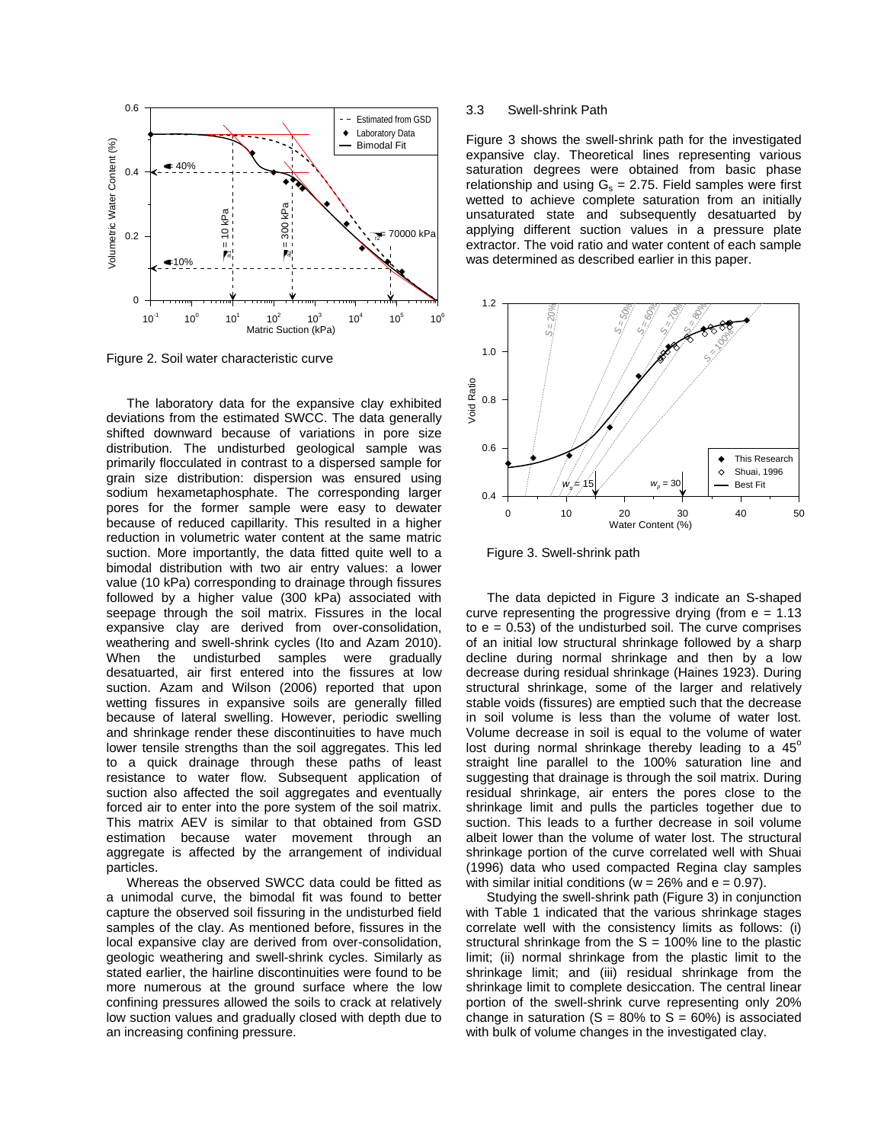

Figure 2. Soil water characteristic curve

The laboratory data for the expansive clay exhibited deviations from the estimated SWCC. The data generally shifted downward because of variations in pore size distribution. The undisturbed geological sample was primarily flocculated in contrast to a dispersed sample for grain size distribution: dispersion was ensured using sodium hexametaphosphate. The corresponding larger pores for the former sample were easy to dewater because of reduced capillarity. This resulted in a higher reduction in volumetric water content at the same matric suction. More importantly, the data fitted quite well to a bimodal distribution with two air entry values: a lower value (10 kPa) corresponding to drainage through fissures followed by a higher value (300 kPa) associated with seepage through the soil matrix. Fissures in the local expansive clay are derived from over-consolidation, weathering and swell-shrink cycles (Ito and Azam 2010). When the undisturbed samples were gradually desatuarted, air first entered into the fissures at low suction. Azam and Wilson (2006) reported that upon wetting fissures in expansive soils are generally filled because of lateral swelling. However, periodic swelling and shrinkage render these discontinuities to have much lower tensile strengths than the soil aggregates. This led to a quick drainage through these paths of least resistance to water flow. Subsequent application of suction also affected the soil aggregates and eventually forced air to enter into the pore system of the soil matrix. This matrix AEV is similar to that obtained from GSD estimation because water movement through an aggregate is affected by the arrangement of individual particles.

Whereas the observed SWCC data could be fitted as a unimodal curve, the bimodal fit was found to better capture the observed soil fissuring in the undisturbed field samples of the clay. As mentioned before, fissures in the local expansive clay are derived from over-consolidation, geologic weathering and swell-shrink cycles. Similarly as stated earlier, the hairline discontinuities were found to be more numerous at the ground surface where the low confining pressures allowed the soils to crack at relatively low suction values and gradually closed with depth due to an increasing confining pressure.

#### 3.3 Swell-shrink Path

Figure 3 shows the swell-shrink path for the investigated expansive clay. Theoretical lines representing various saturation degrees were obtained from basic phase relationship and using  $G_s = 2.75$ . Field samples were first wetted to achieve complete saturation from an initially unsaturated state and subsequently desatuarted by applying different suction values in a pressure plate extractor. The void ratio and water content of each sample was determined as described earlier in this paper.



Figure 3. Swell-shrink path

The data depicted in Figure 3 indicate an S-shaped curve representing the progressive drying (from  $e = 1.13$ ) to  $e = 0.53$ ) of the undisturbed soil. The curve comprises of an initial low structural shrinkage followed by a sharp decline during normal shrinkage and then by a low decrease during residual shrinkage (Haines 1923). During structural shrinkage, some of the larger and relatively stable voids (fissures) are emptied such that the decrease in soil volume is less than the volume of water lost. Volume decrease in soil is equal to the volume of water lost during normal shrinkage thereby leading to a  $45^\circ$ straight line parallel to the 100% saturation line and suggesting that drainage is through the soil matrix. During residual shrinkage, air enters the pores close to the shrinkage limit and pulls the particles together due to suction. This leads to a further decrease in soil volume albeit lower than the volume of water lost. The structural shrinkage portion of the curve correlated well with Shuai (1996) data who used compacted Regina clay samples with similar initial conditions ( $w = 26\%$  and  $e = 0.97$ ).

Studying the swell-shrink path (Figure 3) in conjunction with Table 1 indicated that the various shrinkage stages correlate well with the consistency limits as follows: (i) structural shrinkage from the  $S = 100\%$  line to the plastic limit; (ii) normal shrinkage from the plastic limit to the shrinkage limit; and (iii) residual shrinkage from the shrinkage limit to complete desiccation. The central linear portion of the swell-shrink curve representing only 20% change in saturation  $(S = 80\% \text{ to } S = 60\%)$  is associated with bulk of volume changes in the investigated clay.